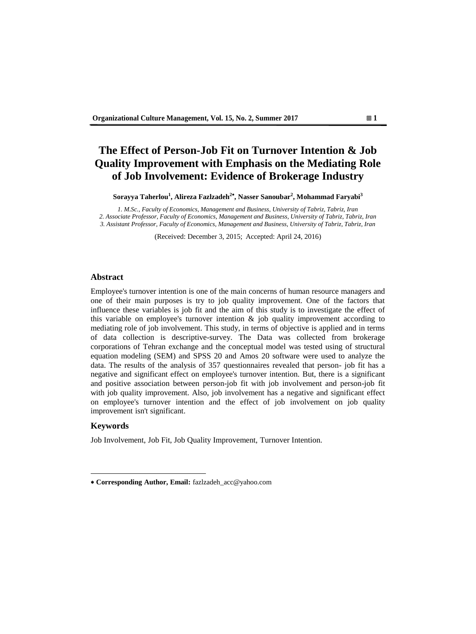# **The Effect of Person-Job Fit on Turnover Intention & Job Quality Improvement with Emphasis on the Mediating Role of Job Involvement: Evidence of Brokerage Industry**

**Sorayya Taherlou<sup>1</sup> , Alireza Fazlzadeh<sup>2</sup> , Nasser Sanoubar<sup>2</sup> , Mohammad Faryabi<sup>3</sup>** 

*1. M.Sc., Faculty of Economics, Management and Business, University of Tabriz, Tabriz, Iran 2. Associate Professor, Faculty of Economics, Management and Business, University of Tabriz, Tabriz, Iran 3. Assistant Professor, Faculty of Economics, Management and Business, University of Tabriz, Tabriz, Iran*

(Received: December 3, 2015; Accepted: April 24, 2016)

### **Abstract**

Employee's turnover intention is one of the main concerns of human resource managers and one of their main purposes is try to job quality improvement. One of the factors that influence these variables is job fit and the aim of this study is to investigate the effect of this variable on employee's turnover intention  $\&$  job quality improvement according to mediating role of job involvement. This study, in terms of objective is applied and in terms of data collection is descriptive-survey. The Data was collected from brokerage corporations of Tehran exchange and the conceptual model was tested using of structural equation modeling (SEM) and SPSS 20 and Amos 20 software were used to analyze the data. The results of the analysis of 357 questionnaires revealed that person- job fit has a negative and significant effect on employee's turnover intention. But, there is a significant and positive association between person-job fit with job involvement and person-job fit with job quality improvement. Also, job involvement has a negative and significant effect on employee's turnover intention and the effect of job involvement on job quality improvement isn't significant.

## **Keywords**

 $\overline{a}$ 

Job Involvement, Job Fit, Job Quality Improvement, Turnover Intention.

**Corresponding Author, Email:** fazlzadeh\_acc@yahoo.com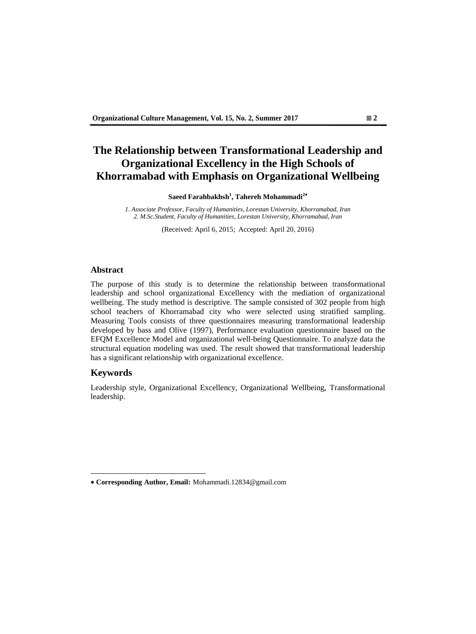# **The Relationship between Transformational Leadership and Organizational Excellency in the High Schools of Khorramabad with Emphasis on Organizational Wellbeing**

**Saeed Farahbakhsh<sup>1</sup> , Tahereh Mohammadi<sup>2</sup>**

*1. Associate Professor, Faculty of Humanities, Lorestan University, Khorramabad, Iran 2. M.Sc.Student, Faculty of Humanities, Lorestan University, Khorramabad, Iran*

(Received: April 6, 2015; Accepted: April 20, 2016)

#### **Abstract**

The purpose of this study is to determine the relationship between transformational leadership and school organizational Excellency with the mediation of organizational wellbeing. The study method is descriptive. The sample consisted of 302 people from high school teachers of Khorramabad city who were selected using stratified sampling. Measuring Tools consists of three questionnaires measuring transformational leadership developed by bass and Olive (1997), Performance evaluation questionnaire based on the EFQM Excellence Model and organizational well-being Questionnaire. To analyze data the structural equation modeling was used. The result showed that transformational leadership has a significant relationship with organizational excellence.

## **Keywords**

 $\overline{a}$ 

Leadership style, Organizational Excellency, Organizational Wellbeing, Transformational leadership.

**Corresponding Author, Email:** Mohammadi.12834@gmail.com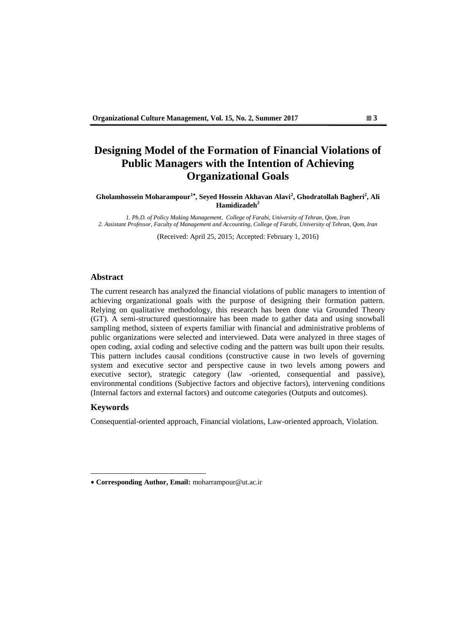# **Designing Model of the Formation of Financial Violations of Public Managers with the Intention of Achieving Organizational Goals**

**Gholamhossein Moharampour<sup>1</sup> , Seyed Hossein Akhavan Alavi<sup>2</sup> , Ghodratollah Bagheri<sup>2</sup> , Ali Hamidizadeh<sup>2</sup>**

*1. Ph.D. of Policy Making Management, College of Farabi, University of Tehran, Qom, Iran 2. Assistant Professor, Faculty of Management and Accounting, College of Farabi, University of Tehran, Qom, Iran*

(Received: April 25, 2015; Accepted: February 1, 2016)

### **Abstract**

The current research has analyzed the financial violations of public managers to intention of achieving organizational goals with the purpose of designing their formation pattern. Relying on qualitative methodology, this research has been done via Grounded Theory (GT). A semi-structured questionnaire has been made to gather data and using snowball sampling method, sixteen of experts familiar with financial and administrative problems of public organizations were selected and interviewed. Data were analyzed in three stages of open coding, axial coding and selective coding and the pattern was built upon their results. This pattern includes causal conditions (constructive cause in two levels of governing system and executive sector and perspective cause in two levels among powers and executive sector), strategic category (law -oriented, consequential and passive), environmental conditions (Subjective factors and objective factors), intervening conditions (Internal factors and external factors) and outcome categories (Outputs and outcomes).

## **Keywords**

 $\overline{a}$ 

Consequential-oriented approach, Financial violations, Law-oriented approach, Violation.

**Corresponding Author, Email:** moharrampour@ut.ac.ir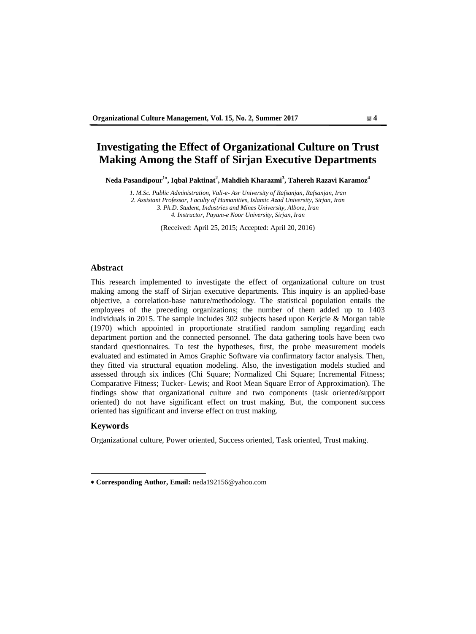# **Investigating the Effect of Organizational Culture on Trust Making Among the Staff of Sirjan Executive Departments**

**Neda Pasandipour<sup>1</sup> , Iqbal Paktinat<sup>2</sup> , Mahdieh Kharazmi<sup>3</sup> , Tahereh Razavi Karamoz<sup>4</sup>**

*1. M.Sc. Public Administration, Vali-e- Asr University of Rafsanjan, Rafsanjan, Iran 2. Assistant Professor, Faculty of Humanities, Islamic Azad University, Sirjan, Iran 3. Ph.D. Student, Industries and Mines University, Alborz, Iran 4. Instructor, Payam-e Noor University, Sirjan, Iran*

(Received: April 25, 2015; Accepted: April 20, 2016)

#### **Abstract**

This research implemented to investigate the effect of organizational culture on trust making among the staff of Sirjan executive departments. This inquiry is an applied-base objective, a correlation-base nature/methodology. The statistical population entails the employees of the preceding organizations; the number of them added up to 1403 individuals in 2015. The sample includes 302 subjects based upon Kerjcie & Morgan table (1970) which appointed in proportionate stratified random sampling regarding each department portion and the connected personnel. The data gathering tools have been two standard questionnaires. To test the hypotheses, first, the probe measurement models evaluated and estimated in Amos Graphic Software via confirmatory factor analysis. Then, they fitted via structural equation modeling. Also, the investigation models studied and assessed through six indices (Chi Square; Normalized Chi Square; Incremental Fitness; Comparative Fitness; Tucker- Lewis; and Root Mean Square Error of Approximation). The findings show that organizational culture and two components (task oriented/support oriented) do not have significant effect on trust making. But, the component success oriented has significant and inverse effect on trust making.

## **Keywords**

 $\overline{a}$ 

Organizational culture, Power oriented, Success oriented, Task oriented, Trust making.

**Corresponding Author, Email:** neda192156@yahoo.com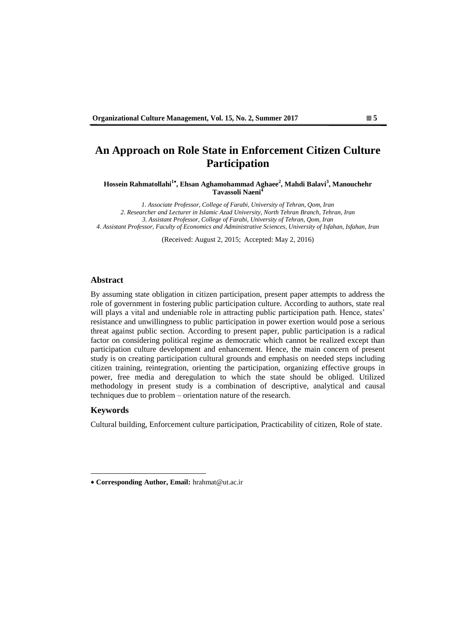## **An Approach on Role State in Enforcement Citizen Culture Participation**

**Hossein Rahmatollahi<sup>1</sup> , Ehsan Aghamohammad Aghaee<sup>2</sup> , Mahdi Balavi<sup>3</sup> , Manouchehr Tavassoli Naeni<sup>4</sup>**

*1. Associate Professor, College of Farabi, University of Tehran, Qom, Iran 2. Researcher and Lecturer in Islamic Azad University, North Tehran Branch, Tehran, Iran 3. Assistant Professor, College of Farabi, University of Tehran, Qom, Iran 4. Assistant Professor, Faculty of Economics and Administrative Sciences, University of Isfahan, Isfahan, Iran*

(Received: August 2, 2015; Accepted: May 2, 2016)

#### **Abstract**

By assuming state obligation in citizen participation, present paper attempts to address the role of government in fostering public participation culture. According to authors, state real will plays a vital and undeniable role in attracting public participation path. Hence, states' resistance and unwillingness to public participation in power exertion would pose a serious threat against public section. According to present paper, public participation is a radical factor on considering political regime as democratic which cannot be realized except than participation culture development and enhancement. Hence, the main concern of present study is on creating participation cultural grounds and emphasis on needed steps including citizen training, reintegration, orienting the participation, organizing effective groups in power, free media and deregulation to which the state should be obliged. Utilized methodology in present study is a combination of descriptive, analytical and causal techniques due to problem – orientation nature of the research.

### **Keywords**

 $\overline{a}$ 

Cultural building, Enforcement culture participation, Practicability of citizen, Role of state.

**Corresponding Author, Email:** hrahmat@ut.ac.ir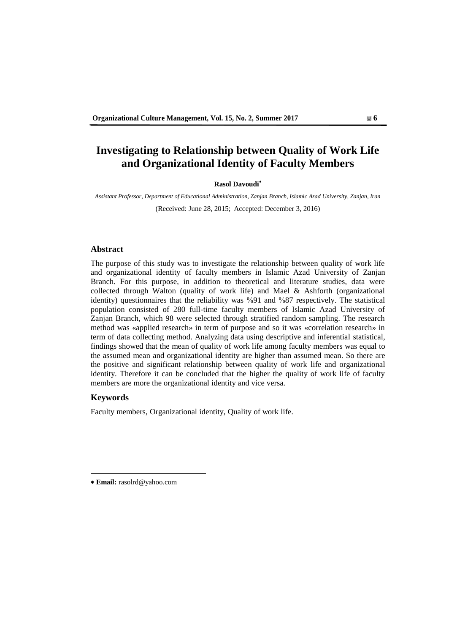# **Investigating to Relationship between Quality of Work Life and Organizational Identity of Faculty Members**

#### **Rasol Davoudi**

*Assistant Professor, Department of Educational Administration, Zanjan Branch, Islamic Azad University, Zanjan, Iran* (Received: June 28, 2015; Accepted: December 3, 2016)

#### **Abstract**

The purpose of this study was to investigate the relationship between quality of work life and organizational identity of faculty members in Islamic Azad University of Zanjan Branch. For this purpose, in addition to theoretical and literature studies, data were collected through Walton (quality of work life) and Mael & Ashforth (organizational identity) questionnaires that the reliability was %91 and %87 respectively. The statistical population consisted of 280 full-time faculty members of Islamic Azad University of Zanjan Branch, which 98 were selected through stratified random sampling. The research method was «applied research» in term of purpose and so it was «correlation research» in term of data collecting method. Analyzing data using descriptive and inferential statistical, findings showed that the mean of quality of work life among faculty members was equal to the assumed mean and organizational identity are higher than assumed mean. So there are the positive and significant relationship between quality of work life and organizational identity. Therefore it can be concluded that the higher the quality of work life of faculty members are more the organizational identity and vice versa.

### **Keywords**

 $\overline{a}$ 

Faculty members, Organizational identity, Quality of work life.

**Email:** rasolrd@yahoo.com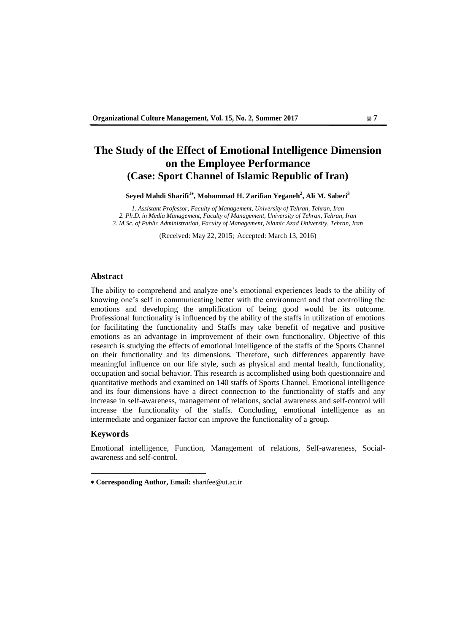## **The Study of the Effect of Emotional Intelligence Dimension on the Employee Performance (Case: Sport Channel of Islamic Republic of Iran)**

**Seyed Mahdi Sharifi<sup>1</sup> , Mohammad H. Zarifian Yeganeh<sup>2</sup> , Ali M. Saberi<sup>3</sup>**

*1. Assistant Professor, Faculty of Management, University of Tehran, Tehran, Iran 2. Ph.D. in Media Management, Faculty of Management, University of Tehran, Tehran, Iran 3. M.Sc. of Public Administration, Faculty of Management, Islamic Azad University, Tehran, Iran*

(Received: May 22, 2015; Accepted: March 13, 2016)

#### **Abstract**

The ability to comprehend and analyze one's emotional experiences leads to the ability of knowing one's self in communicating better with the environment and that controlling the emotions and developing the amplification of being good would be its outcome. Professional functionality is influenced by the ability of the staffs in utilization of emotions for facilitating the functionality and Staffs may take benefit of negative and positive emotions as an advantage in improvement of their own functionality. Objective of this research is studying the effects of emotional intelligence of the staffs of the Sports Channel on their functionality and its dimensions. Therefore, such differences apparently have meaningful influence on our life style, such as physical and mental health, functionality, occupation and social behavior. This research is accomplished using both questionnaire and quantitative methods and examined on 140 staffs of Sports Channel. Emotional intelligence and its four dimensions have a direct connection to the functionality of staffs and any increase in self-awareness, management of relations, social awareness and self-control will increase the functionality of the staffs. Concluding, emotional intelligence as an intermediate and organizer factor can improve the functionality of a group.

#### **Keywords**

 $\overline{a}$ 

Emotional intelligence, Function, Management of relations, Self-awareness, Socialawareness and self-control.

**Corresponding Author, Email:** sharifee@ut.ac.ir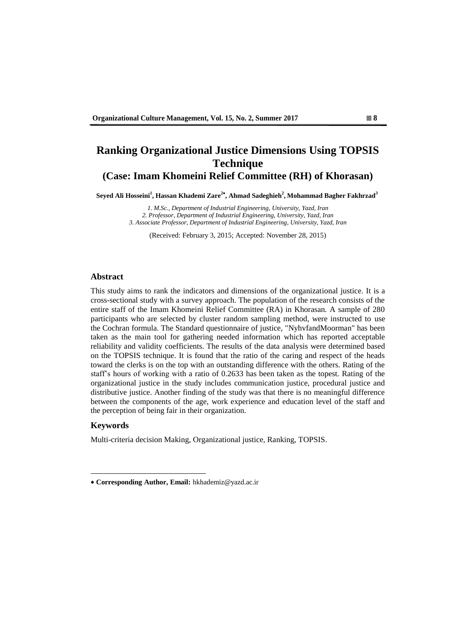## **Ranking Organizational Justice Dimensions Using TOPSIS Technique (Case: Imam Khomeini Relief Committee (RH) of Khorasan)**

**Seyed Ali Hosseini<sup>1</sup> , Hassan Khademi Zare<sup>2</sup> , Ahmad Sadeghieh<sup>2</sup> , Mohammad Bagher Fakhrzad<sup>3</sup>**

*1. M.Sc., Department of Industrial Engineering, University, Yazd, Iran 2. Professor, Department of Industrial Engineering, University, Yazd, Iran 3. Associate Professor, Department of Industrial Engineering, University, Yazd, Iran*

(Received: February 3, 2015; Accepted: November 28, 2015)

### **Abstract**

This study aims to rank the indicators and dimensions of the organizational justice. It is a cross-sectional study with a survey approach. The population of the research consists of the entire staff of the Imam Khomeini Relief Committee (RA) in Khorasan. A sample of 280 participants who are selected by cluster random sampling method, were instructed to use the Cochran formula. The Standard questionnaire of justice, "NyhvfandMoorman" has been taken as the main tool for gathering needed information which has reported acceptable reliability and validity coefficients. The results of the data analysis were determined based on the TOPSIS technique. It is found that the ratio of the caring and respect of the heads toward the clerks is on the top with an outstanding difference with the others. Rating of the staff's hours of working with a ratio of 0.2633 has been taken as the topest. Rating of the organizational justice in the study includes communication justice, procedural justice and distributive justice. Another finding of the study was that there is no meaningful difference between the components of the age, work experience and education level of the staff and the perception of being fair in their organization.

## **Keywords**

 $\overline{a}$ 

Multi-criteria decision Making, Organizational justice, Ranking, TOPSIS.

**Corresponding Author, Email:** hkhademiz@yazd.ac.ir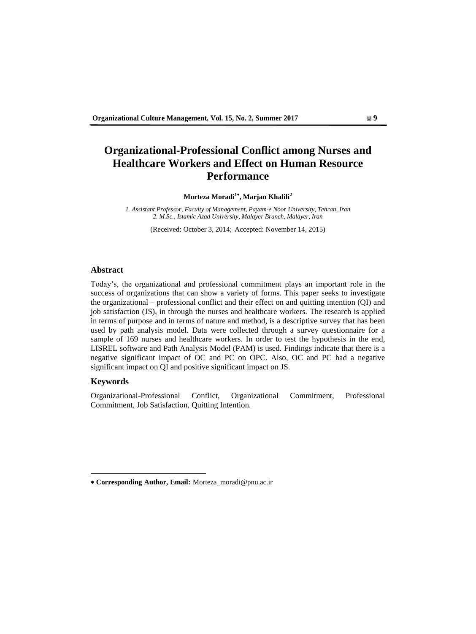# **Organizational-Professional Conflict among Nurses and Healthcare Workers and Effect on Human Resource Performance**

**Morteza Moradi<sup>1</sup> , Marjan Khalili<sup>2</sup>**

*1. Assistant Professor, Faculty of Management, Payam-e Noor University, Tehran, Iran 2. M.Sc., Islamic Azad University, Malayer Branch, Malayer, Iran*

(Received: October 3, 2014; Accepted: November 14, 2015)

#### **Abstract**

Today's, the organizational and professional commitment plays an important role in the success of organizations that can show a variety of forms. This paper seeks to investigate the organizational – professional conflict and their effect on and quitting intention (QI) and job satisfaction (JS), in through the nurses and healthcare workers. The research is applied in terms of purpose and in terms of nature and method, is a descriptive survey that has been used by path analysis model. Data were collected through a survey questionnaire for a sample of 169 nurses and healthcare workers. In order to test the hypothesis in the end, LISREL software and Path Analysis Model (PAM) is used. Findings indicate that there is a negative significant impact of OC and PC on OPC. Also, OC and PC had a negative significant impact on QI and positive significant impact on JS.

#### **Keywords**

 $\overline{a}$ 

Organizational-Professional Conflict, Organizational Commitment, Professional Commitment, Job Satisfaction, Quitting Intention.

**Corresponding Author, Email:** Morteza\_moradi@pnu.ac.ir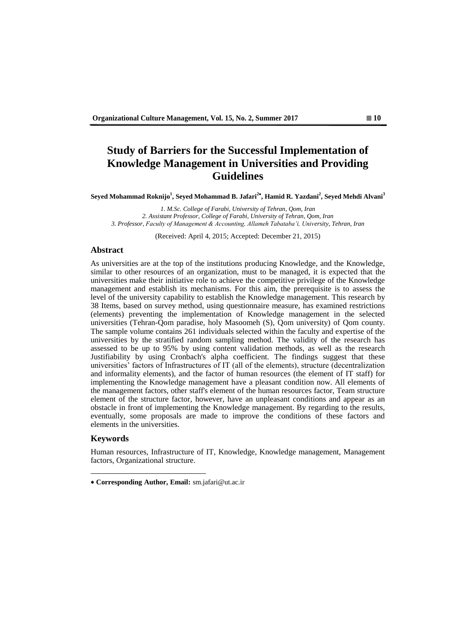# **Study of Barriers for the Successful Implementation of Knowledge Management in Universities and Providing Guidelines**

**Seyed Mohammad Roknijo<sup>1</sup> , Seyed Mohammad B. Jafari<sup>2</sup> , Hamid R. Yazdani<sup>2</sup> , Seyed Mehdi Alvani<sup>3</sup>**

*1. M.Sc. College of Farabi, University of Tehran, Qom, Iran 2. Assistant Professor, College of Farabi, University of Tehran, Qom, Iran 3. Professor, Faculty of Management & Accounting, Allameh Tabataba'i, University, Tehran, Iran*

(Received: April 4, 2015; Accepted: December 21, 2015)

#### **Abstract**

As universities are at the top of the institutions producing Knowledge, and the Knowledge, similar to other resources of an organization, must to be managed, it is expected that the universities make their initiative role to achieve the competitive privilege of the Knowledge management and establish its mechanisms. For this aim, the prerequisite is to assess the level of the university capability to establish the Knowledge management. This research by 38 Items, based on survey method, using questionnaire measure, has examined restrictions (elements) preventing the implementation of Knowledge management in the selected universities (Tehran-Qom paradise, holy Masoomeh (S), Qom university) of Qom county. The sample volume contains 261 individuals selected within the faculty and expertise of the universities by the stratified random sampling method. The validity of the research has assessed to be up to 95% by using content validation methods, as well as the research Justifiability by using Cronbach's alpha coefficient. The findings suggest that these universities' factors of Infrastructures of IT (all of the elements), structure (decentralization and informality elements), and the factor of human resources (the element of IT staff) for implementing the Knowledge management have a pleasant condition now. All elements of the management factors, other staff's element of the human resources factor, Team structure element of the structure factor, however, have an unpleasant conditions and appear as an obstacle in front of implementing the Knowledge management. By regarding to the results, eventually, some proposals are made to improve the conditions of these factors and elements in the universities.

#### **Keywords**

 $\overline{a}$ 

Human resources, Infrastructure of IT, Knowledge, Knowledge management, Management factors, Organizational structure.

**Corresponding Author, Email:** sm.jafari@ut.ac.ir